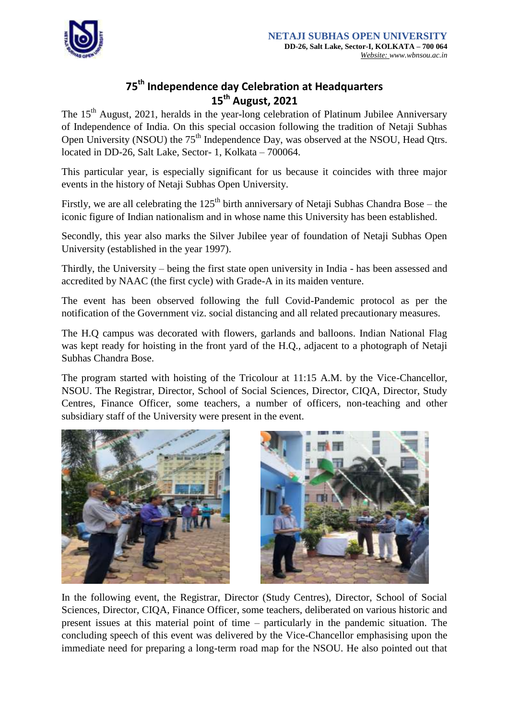

## **75th Independence day Celebration at Headquarters 15th August, 2021**

The 15<sup>th</sup> August, 2021, heralds in the year-long celebration of Platinum Jubilee Anniversary of Independence of India. On this special occasion following the tradition of Netaji Subhas Open University (NSOU) the 75<sup>th</sup> Independence Day, was observed at the NSOU, Head Qtrs. located in DD-26, Salt Lake, Sector- 1, Kolkata – 700064.

This particular year, is especially significant for us because it coincides with three major events in the history of Netaji Subhas Open University.

Firstly, we are all celebrating the  $125<sup>th</sup>$  birth anniversary of Netaji Subhas Chandra Bose – the iconic figure of Indian nationalism and in whose name this University has been established.

Secondly, this year also marks the Silver Jubilee year of foundation of Netaji Subhas Open University (established in the year 1997).

Thirdly, the University – being the first state open university in India - has been assessed and accredited by NAAC (the first cycle) with Grade-A in its maiden venture.

The event has been observed following the full Covid-Pandemic protocol as per the notification of the Government viz. social distancing and all related precautionary measures.

The H.Q campus was decorated with flowers, garlands and balloons. Indian National Flag was kept ready for hoisting in the front yard of the H.Q., adjacent to a photograph of Netaji Subhas Chandra Bose.

The program started with hoisting of the Tricolour at 11:15 A.M. by the Vice-Chancellor, NSOU. The Registrar, Director, School of Social Sciences, Director, CIQA, Director, Study Centres, Finance Officer, some teachers, a number of officers, non-teaching and other subsidiary staff of the University were present in the event.





In the following event, the Registrar, Director (Study Centres), Director, School of Social Sciences, Director, CIQA, Finance Officer, some teachers, deliberated on various historic and present issues at this material point of time – particularly in the pandemic situation. The concluding speech of this event was delivered by the Vice-Chancellor emphasising upon the immediate need for preparing a long-term road map for the NSOU. He also pointed out that